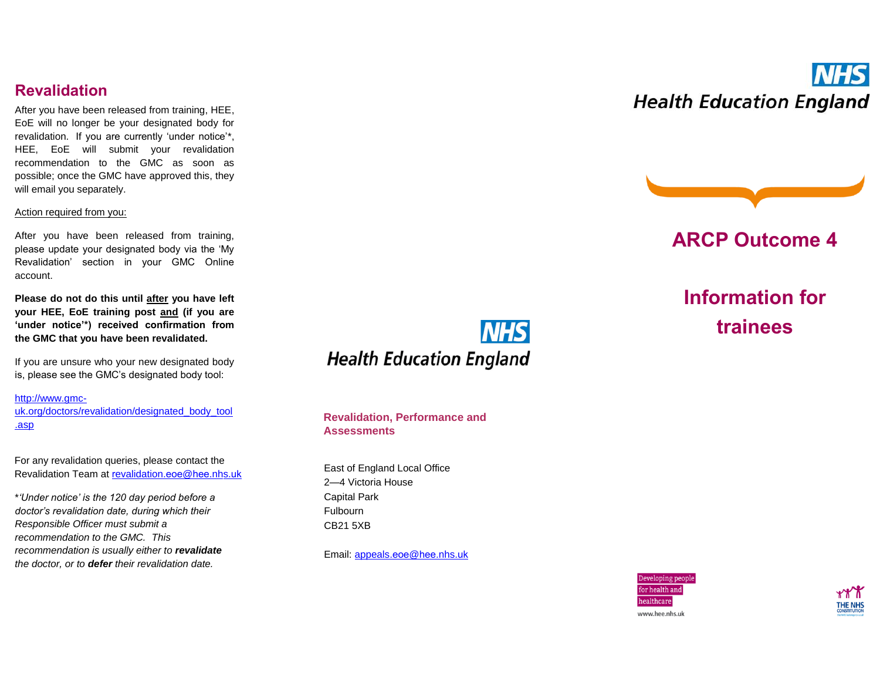### **Revalidation**

After you have been released from training, HEE, EoE will no longer be your designated body for revalidation. If you are currently 'under notice'\*, HEE, EoE will submit your revalidation recommendation to the GMC as soon as possible; once the GMC have approved this, they will email you separately.

#### Action required from you:

After you have been released from training, please update your designated body via the 'My Revalidation' section in your GMC Online account.

**Please do not do this until after you have left your HEE, EoE training post and (if you are 'under notice'\*) received confirmation from the GMC that you have been revalidated.**

If you are unsure who your new designated body is, please see the GMC's designated body tool:

[http://www.gmc](http://www.gmc-uk.org/doctors/revalidation/designated_body_tool.asp)[uk.org/doctors/revalidation/designated\\_body\\_tool](http://www.gmc-uk.org/doctors/revalidation/designated_body_tool.asp) [.asp](http://www.gmc-uk.org/doctors/revalidation/designated_body_tool.asp)

For any revalidation queries, please contact the Revalidation Team at r[evalidation](mailto:revalidation.eoe@hee.nhs.uk).eoe@hee.nhs.uk

\**'Under notice' is the 120 day period before a doctor's revalidation date, during which their Responsible Officer must submit a recommendation to the GMC. This recommendation is usually either to revalidate the doctor, or to defer their revalidation date.*



**Revalidation, Performance and Assessments**

East of England Local Office 2—4 Victoria House Capital Park Fulbourn CB21 5XB

Email: [appeals](mailto:appeals.eoe@hee.nhs.uk).eoe@hee.nhs.uk

# **NHS Health Education England**



### **ARCP Outcome 4**

**Information for trainees**